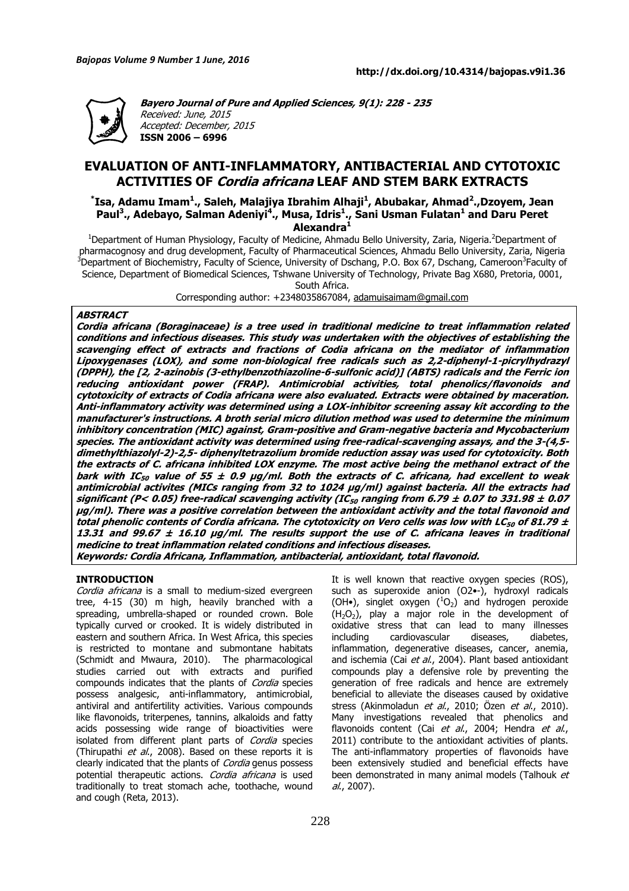

**Bayero Journal of Pure and Applied Sciences, 9(1): 228 - 235**  Received: June, 2015 Accepted: December, 2015 **ISSN 2006 – 6996**

# **EVALUATION OF ANTI-INFLAMMATORY, ANTIBACTERIAL AND CYTOTOXIC ACTIVITIES OF Cordia africana LEAF AND STEM BARK EXTRACTS**

**\* Isa, Adamu Imam<sup>1</sup> ., Saleh, Malajiya Ibrahim Alhaji<sup>1</sup> , Abubakar, Ahmad<sup>2</sup> .,Dzoyem, Jean Paul<sup>3</sup> ., Adebayo, Salman Adeniyi<sup>4</sup> ., Musa, Idris<sup>1</sup> ., Sani Usman Fulatan<sup>1</sup> and Daru Peret Alexandra<sup>1</sup>**

<sup>1</sup>Department of Human Physiology, Faculty of Medicine, Ahmadu Bello University, Zaria, Nigeria.<sup>2</sup>Department of pharmacognosy and drug development, Faculty of Pharmaceutical Sciences, Ahmadu Bello University, Zaria, Nigeria <sup>3</sup>Department of Biochemistry, Faculty of Science, University of Dschang, P.O. Box 67, Dschang, Cameroon<sup>3</sup>Faculty of Science, Department of Biomedical Sciences, Tshwane University of Technology, Private Bag X680, Pretoria, 0001,

South Africa.

Corresponding author: +2348035867084, adamuisaimam@gmail.com

# **ABSTRACT**

**Cordia africana (Boraginaceae) is a tree used in traditional medicine to treat inflammation related conditions and infectious diseases. This study was undertaken with the objectives of establishing the scavenging effect of extracts and fractions of Codia africana on the mediator of inflammation Lipoxygenases (LOX), and some non-biological free radicals such as 2,2-diphenyl-1-picrylhydrazyl (DPPH), the [2, 2-azinobis (3-ethylbenzothiazoline-6-sulfonic acid)] (ABTS) radicals and the Ferric ion reducing antioxidant power (FRAP). Antimicrobial activities, total phenolics/flavonoids and cytotoxicity of extracts of Codia africana were also evaluated. Extracts were obtained by maceration. Anti-inflammatory activity was determined using a LOX-inhibitor screening assay kit according to the manufacturer's instructions. A broth serial micro dilution method was used to determine the minimum inhibitory concentration (MIC) against, Gram-positive and Gram-negative bacteria and Mycobacterium species. The antioxidant activity was determined using free-radical-scavenging assays, and the 3-(4,5 dimethylthiazolyl-2)-2,5- diphenyltetrazolium bromide reduction assay was used for cytotoxicity. Both the extracts of C. africana inhibited LOX enzyme. The most active being the methanol extract of the bark with IC50 value of 55 ± 0.9 µg/ml. Both the extracts of C. africana, had excellent to weak antimicrobial activites (MICs ranging from 32 to 1024 µg/ml) against bacteria. All the extracts had significant (P< 0.05) free-radical scavenging activity (IC50 ranging from 6.79 ± 0.07 to 331.98 ± 0.07 μg/ml). There was a positive correlation between the antioxidant activity and the total flavonoid and total phenolic contents of Cordia africana. The cytotoxicity on Vero cells was low with LC50 of 81.79 ± 13.31 and 99.67 ± 16.10 μg/ml. The results support the use of C. africana leaves in traditional medicine to treat inflammation related conditions and infectious diseases. Keywords: Cordia Africana, Inflammation, antibacterial, antioxidant, total flavonoid.** 

#### **INTRODUCTION**

Cordia africana is a small to medium-sized evergreen tree, 4-15 (30) m high, heavily branched with a spreading, umbrella-shaped or rounded crown. Bole typically curved or crooked. It is widely distributed in eastern and southern Africa. In West Africa, this species is restricted to montane and submontane habitats (Schmidt and Mwaura, 2010). The pharmacological studies carried out with extracts and purified compounds indicates that the plants of Cordia species possess analgesic, anti-inflammatory, antimicrobial, antiviral and antifertility activities. Various compounds like flavonoids, triterpenes, tannins, alkaloids and fatty acids possessing wide range of bioactivities were isolated from different plant parts of Cordia species (Thirupathi et al., 2008). Based on these reports it is clearly indicated that the plants of Cordia genus possess potential therapeutic actions. Cordia africana is used traditionally to treat stomach ache, toothache, wound and cough (Reta, 2013).

It is well known that reactive oxygen species (ROS), such as superoxide anion (O2•-), hydroxyl radicals (OH•), singlet oxygen  $(^1O_2)$  and hydrogen peroxide  $(H<sub>2</sub>O<sub>2</sub>)$ , play a major role in the development of oxidative stress that can lead to many illnesses including cardiovascular diseases, diabetes, inflammation, degenerative diseases, cancer, anemia, and ischemia (Cai et al., 2004). Plant based antioxidant compounds play a defensive role by preventing the generation of free radicals and hence are extremely beneficial to alleviate the diseases caused by oxidative stress (Akinmoladun et al., 2010; Özen et al., 2010). Many investigations revealed that phenolics and flavonoids content (Cai et al., 2004; Hendra et al., 2011) contribute to the antioxidant activities of plants. The anti-inflammatory properties of flavonoids have been extensively studied and beneficial effects have been demonstrated in many animal models (Talhouk et  $al., 2007$ ).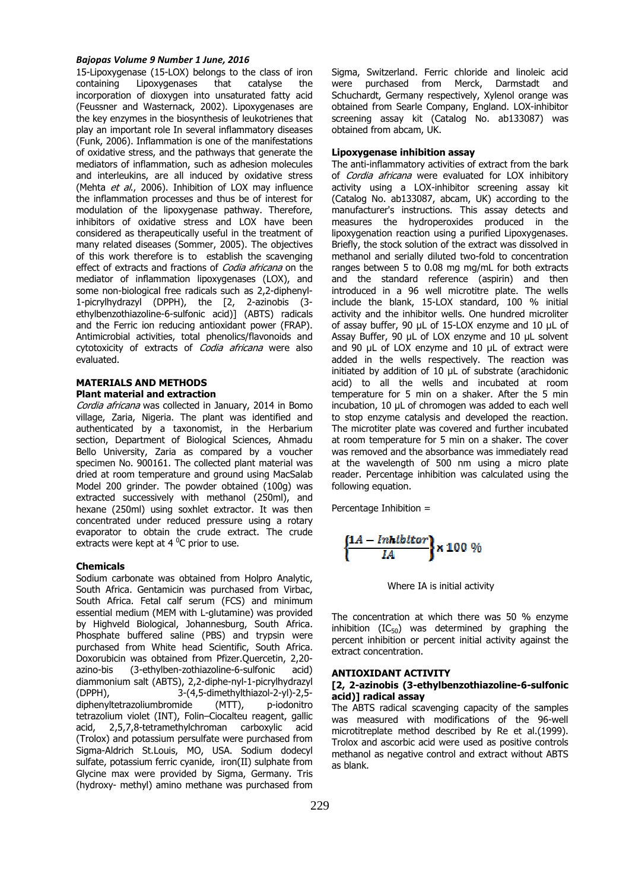15-Lipoxygenase (15-LOX) belongs to the class of iron containing Lipoxygenases that catalyse the incorporation of dioxygen into unsaturated fatty acid (Feussner and Wasternack, 2002). Lipoxygenases are the key enzymes in the biosynthesis of leukotrienes that play an important role In several inflammatory diseases (Funk, 2006). Inflammation is one of the manifestations of oxidative stress, and the pathways that generate the mediators of inflammation, such as adhesion molecules and interleukins, are all induced by oxidative stress (Mehta et al., 2006). Inhibition of LOX may influence the inflammation processes and thus be of interest for modulation of the lipoxygenase pathway. Therefore, inhibitors of oxidative stress and LOX have been considered as therapeutically useful in the treatment of many related diseases (Sommer, 2005). The objectives of this work therefore is to establish the scavenging effect of extracts and fractions of Codia africana on the mediator of inflammation lipoxygenases (LOX), and some non-biological free radicals such as 2,2-diphenyl-1-picrylhydrazyl (DPPH), the [2, 2-azinobis (3 ethylbenzothiazoline-6-sulfonic acid)] (ABTS) radicals and the Ferric ion reducing antioxidant power (FRAP). Antimicrobial activities, total phenolics/flavonoids and cytotoxicity of extracts of Codia africana were also evaluated.

### **MATERIALS AND METHODS Plant material and extraction**

Cordia africana was collected in January, 2014 in Bomo village, Zaria, Nigeria. The plant was identified and authenticated by a taxonomist, in the Herbarium section, Department of Biological Sciences, Ahmadu Bello University, Zaria as compared by a voucher specimen No. 900161. The collected plant material was dried at room temperature and ground using MacSalab Model 200 grinder. The powder obtained (100g) was extracted successively with methanol (250ml), and hexane (250ml) using soxhlet extractor. It was then concentrated under reduced pressure using a rotary evaporator to obtain the crude extract. The crude extracts were kept at  $4^{\circ}$ C prior to use.

#### **Chemicals**

Sodium carbonate was obtained from Holpro Analytic, South Africa. Gentamicin was purchased from Virbac, South Africa. Fetal calf serum (FCS) and minimum essential medium (MEM with L-glutamine) was provided by Highveld Biological, Johannesburg, South Africa. Phosphate buffered saline (PBS) and trypsin were purchased from White head Scientific, South Africa. Doxorubicin was obtained from Pfizer.Quercetin, 2,20 azino-bis (3-ethylben-zothiazoline-6-sulfonic acid) diammonium salt (ABTS), 2,2-diphe-nyl-1-picrylhydrazyl (DPPH), 3-(4,5-dimethylthiazol-2-yl)-2,5 diphenyltetrazoliumbromide (MTT), p-iodonitro tetrazolium violet (INT), Folin–Ciocalteu reagent, gallic acid, 2,5,7,8-tetramethylchroman carboxylic acid (Trolox) and potassium persulfate were purchased from Sigma-Aldrich St.Louis, MO, USA. Sodium dodecyl sulfate, potassium ferric cyanide, iron(II) sulphate from Glycine max were provided by Sigma, Germany. Tris (hydroxy- methyl) amino methane was purchased from Sigma, Switzerland. Ferric chloride and linoleic acid were purchased from Merck, Darmstadt and Schuchardt, Germany respectively, Xylenol orange was obtained from Searle Company, England. LOX-inhibitor screening assay kit (Catalog No. ab133087) was obtained from abcam, UK.

# **Lipoxygenase inhibition assay**

The anti-inflammatory activities of extract from the bark of *Cordia africana* were evaluated for LOX inhibitory activity using a LOX-inhibitor screening assay kit (Catalog No. ab133087, abcam, UK) according to the manufacturer's instructions. This assay detects and measures the hydroperoxides produced in the lipoxygenation reaction using a purified Lipoxygenases. Briefly, the stock solution of the extract was dissolved in methanol and serially diluted two-fold to concentration ranges between 5 to 0.08 mg mg/mL for both extracts and the standard reference (aspirin) and then introduced in a 96 well microtitre plate. The wells include the blank, 15-LOX standard, 100 % initial activity and the inhibitor wells. One hundred microliter of assay buffer, 90 µL of 15-LOX enzyme and 10 µL of Assay Buffer, 90 µL of LOX enzyme and 10 µL solvent and 90 µL of LOX enzyme and 10 µL of extract were added in the wells respectively. The reaction was initiated by addition of 10 µL of substrate (arachidonic acid) to all the wells and incubated at room temperature for 5 min on a shaker. After the 5 min incubation, 10 µL of chromogen was added to each well to stop enzyme catalysis and developed the reaction. The microtiter plate was covered and further incubated at room temperature for 5 min on a shaker. The cover was removed and the absorbance was immediately read at the wavelength of 500 nm using a micro plate reader. Percentage inhibition was calculated using the following equation.

Percentage Inhibition =

$$
\left\{\frac{1A-Inhibitor}{IA}\right\}\times 100\%
$$

Where IA is initial activity

The concentration at which there was 50 % enzyme inhibition  $(IC_{50})$  was determined by graphing the percent inhibition or percent initial activity against the extract concentration.

#### **ANTIOXIDANT ACTIVITY**

#### **[2, 2-azinobis (3-ethylbenzothiazoline-6-sulfonic acid)] radical assay**

The ABTS radical scavenging capacity of the samples was measured with modifications of the 96-well microtitreplate method described by Re et al.(1999). Trolox and ascorbic acid were used as positive controls methanol as negative control and extract without ABTS as blank.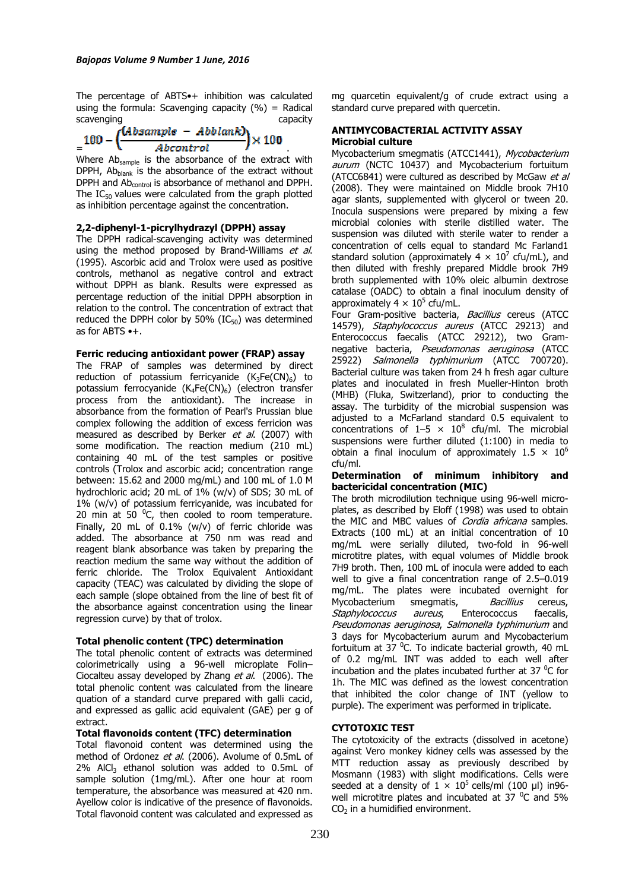The percentage of ABTS•+ inhibition was calculated using the formula: Scavenging capacity  $(%) =$  Radical scavenging capacity

$$
=100-\left(\frac{(Absample - Abblank)}{Abcontrol}\right)\times 100
$$

Where Ab<sub>sample</sub> is the absorbance of the extract with DPPH,  $Ab<sub>blank</sub>$  is the absorbance of the extract without DPPH and Ab<sub>control</sub> is absorbance of methanol and DPPH. The  $IC_{50}$  values were calculated from the graph plotted as inhibition percentage against the concentration.

# **2,2-diphenyl-1-picrylhydrazyl (DPPH) assay**

The DPPH radical-scavenging activity was determined using the method proposed by Brand-Williams et al. (1995). Ascorbic acid and Trolox were used as positive controls, methanol as negative control and extract without DPPH as blank. Results were expressed as percentage reduction of the initial DPPH absorption in relation to the control. The concentration of extract that reduced the DPPH color by 50%  $(IC_{50})$  was determined as for ABTS •+.

# **Ferric reducing antioxidant power (FRAP) assay**

The FRAP of samples was determined by direct reduction of potassium ferricyanide  $(K_3Fe(CN)_6)$  to potassium ferrocyanide  $(K_4Fe(CN)_6)$  (electron transfer process from the antioxidant). The increase in absorbance from the formation of Pearl's Prussian blue complex following the addition of excess ferricion was measured as described by Berker et al. (2007) with some modification. The reaction medium (210 mL) containing 40 mL of the test samples or positive controls (Trolox and ascorbic acid; concentration range between: 15.62 and 2000 mg/mL) and 100 mL of 1.0 M hydrochloric acid; 20 mL of 1% (w/v) of SDS; 30 mL of 1% (w/v) of potassium ferricyanide, was incubated for 20 min at 50 $^{0}$ C, then cooled to room temperature. Finally, 20 mL of 0.1% (w/v) of ferric chloride was added. The absorbance at 750 nm was read and reagent blank absorbance was taken by preparing the reaction medium the same way without the addition of ferric chloride. The Trolox Equivalent Antioxidant capacity (TEAC) was calculated by dividing the slope of each sample (slope obtained from the line of best fit of the absorbance against concentration using the linear regression curve) by that of trolox.

# **Total phenolic content (TPC) determination**

The total phenolic content of extracts was determined colorimetrically using a 96-well microplate Folin– Ciocalteu assay developed by Zhang et al. (2006). The total phenolic content was calculated from the lineare quation of a standard curve prepared with galli cacid, and expressed as gallic acid equivalent (GAE) per g of extract.

# **Total flavonoids content (TFC) determination**

Total flavonoid content was determined using the method of Ordonez et al. (2006). Avolume of 0.5mL of  $2\%$  AlCl<sub>3</sub> ethanol solution was added to 0.5mL of sample solution (1mg/mL). After one hour at room temperature, the absorbance was measured at 420 nm. Ayellow color is indicative of the presence of flavonoids. Total flavonoid content was calculated and expressed as mg quarcetin equivalent/g of crude extract using a standard curve prepared with quercetin.

# **ANTIMYCOBACTERIAL ACTIVITY ASSAY Microbial culture**

Mycobacterium smegmatis (ATCC1441), Mycobacterium aurum (NCTC 10437) and Mycobacterium fortuitum (ATCC6841) were cultured as described by McGaw et al (2008). They were maintained on Middle brook 7H10 agar slants, supplemented with glycerol or tween 20. Inocula suspensions were prepared by mixing a few microbial colonies with sterile distilled water. The suspension was diluted with sterile water to render a concentration of cells equal to standard Mc Farland1 standard solution (approximately 4  $\times$  10<sup>7</sup> cfu/mL), and then diluted with freshly prepared Middle brook 7H9 broth supplemented with 10% oleic albumin dextrose catalase (OADC) to obtain a final inoculum density of approximately 4  $\times$  10<sup>5</sup> cfu/mL.

Four Gram-positive bacteria, Bacillius cereus (ATCC 14579), Staphylococcus aureus (ATCC 29213) and Enterococcus faecalis (ATCC 29212), two Gramnegative bacteria, Pseudomonas aeruginosa (ATCC 25922) Salmonella typhimurium (ATCC 700720). Bacterial culture was taken from 24 h fresh agar culture plates and inoculated in fresh Mueller-Hinton broth (MHB) (Fluka, Switzerland), prior to conducting the assay. The turbidity of the microbial suspension was adjusted to a McFarland standard 0.5 equivalent to concentrations of  $1-5 \times 10^8$  cfu/ml. The microbial suspensions were further diluted (1:100) in media to obtain a final inoculum of approximately  $1.5 \times 10^6$ cfu/ml.

# **Determination of minimum inhibitory and bactericidal concentration (MIC)**

The broth microdilution technique using 96-well microplates, as described by Eloff (1998) was used to obtain the MIC and MBC values of *Cordia africana* samples. Extracts (100 mL) at an initial concentration of 10 mg/mL were serially diluted, two-fold in 96-well microtitre plates, with equal volumes of Middle brook 7H9 broth. Then, 100 mL of inocula were added to each well to give a final concentration range of 2.5–0.019 mg/mL. The plates were incubated overnight for Mycobacterium smegmatis, *Bacillius* cereus, Staphylococcus aureus, Enterococcus faecalis, Pseudomonas aeruginosa, Salmonella typhimurium and 3 days for Mycobacterium aurum and Mycobacterium fortuitum at 37 $^0$ C. To indicate bacterial growth, 40 mL of 0.2 mg/mL INT was added to each well after incubation and the plates incubated further at 37 $\mathrm{^{0}C}$  for 1h. The MIC was defined as the lowest concentration that inhibited the color change of INT (yellow to purple). The experiment was performed in triplicate.

# **CYTOTOXIC TEST**

The cytotoxicity of the extracts (dissolved in acetone) against Vero monkey kidney cells was assessed by the MTT reduction assay as previously described by Mosmann (1983) with slight modifications. Cells were seeded at a density of  $1 \times 10^5$  cells/ml (100 µl) in96well microtitre plates and incubated at  $37 \degree$ C and 5%  $CO<sub>2</sub>$  in a humidified environment.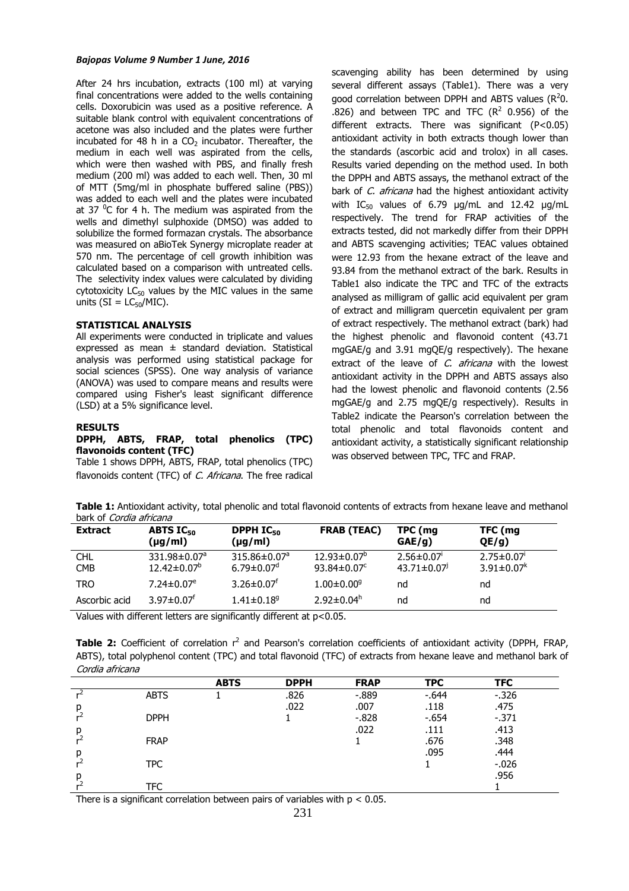After 24 hrs incubation, extracts (100 ml) at varying final concentrations were added to the wells containing cells. Doxorubicin was used as a positive reference. A suitable blank control with equivalent concentrations of acetone was also included and the plates were further incubated for 48 h in a  $CO<sub>2</sub>$  incubator. Thereafter, the medium in each well was aspirated from the cells, which were then washed with PBS, and finally fresh medium (200 ml) was added to each well. Then, 30 ml of MTT (5mg/ml in phosphate buffered saline (PBS)) was added to each well and the plates were incubated at 37  $^0$ C for 4 h. The medium was aspirated from the wells and dimethyl sulphoxide (DMSO) was added to solubilize the formed formazan crystals. The absorbance was measured on aBioTek Synergy microplate reader at 570 nm. The percentage of cell growth inhibition was calculated based on a comparison with untreated cells. The selectivity index values were calculated by dividing cytotoxicity  $LC_{50}$  values by the MIC values in the same units ( $SI = LC_{50}/MIC$ ).

### **STATISTICAL ANALYSIS**

All experiments were conducted in triplicate and values expressed as mean  $\pm$  standard deviation. Statistical analysis was performed using statistical package for social sciences (SPSS). One way analysis of variance (ANOVA) was used to compare means and results were compared using Fisher's least significant difference (LSD) at a 5% significance level.

#### **RESULTS**

# **DPPH, ABTS, FRAP, total phenolics (TPC) flavonoids content (TFC)**

Table 1 shows DPPH, ABTS, FRAP, total phenolics (TPC) flavonoids content (TFC) of *C. Africana*. The free radical scavenging ability has been determined by using several different assays (Table1). There was a very good correlation between DPPH and ABTS values ( $R^2$ 0. .826) and between TPC and TFC  $(R^2 \t 0.956)$  of the different extracts. There was significant (P<0.05) antioxidant activity in both extracts though lower than the standards (ascorbic acid and trolox) in all cases. Results varied depending on the method used. In both the DPPH and ABTS assays, the methanol extract of the bark of *C. africana* had the highest antioxidant activity with  $IC_{50}$  values of 6.79  $\mu q/mL$  and 12.42  $\mu q/mL$ respectively. The trend for FRAP activities of the extracts tested, did not markedly differ from their DPPH and ABTS scavenging activities; TEAC values obtained were 12.93 from the hexane extract of the leave and 93.84 from the methanol extract of the bark. Results in Table1 also indicate the TPC and TFC of the extracts analysed as milligram of gallic acid equivalent per gram of extract and milligram quercetin equivalent per gram of extract respectively. The methanol extract (bark) had the highest phenolic and flavonoid content (43.71 mgGAE/g and 3.91 mgQE/g respectively). The hexane extract of the leave of C. africana with the lowest antioxidant activity in the DPPH and ABTS assays also had the lowest phenolic and flavonoid contents (2.56 mgGAE/g and 2.75 mgQE/g respectively). Results in Table2 indicate the Pearson's correlation between the total phenolic and total flavonoids content and antioxidant activity, a statistically significant relationship was observed between TPC, TFC and FRAP.

**Table 1:** Antioxidant activity, total phenolic and total flavonoid contents of extracts from hexane leave and methanol bark of Cordia africana

| <b>Extract</b>           | <b>ABTS IC<sub>50</sub></b><br>$(\mu g/ml)$     | DPPH $IC_{50}$<br>$(\mu g/ml)$                      | <b>FRAB (TEAC)</b>                                         | TPC (mg<br>GAE/g)                   | TFC (mg<br>QE/g)                     |
|--------------------------|-------------------------------------------------|-----------------------------------------------------|------------------------------------------------------------|-------------------------------------|--------------------------------------|
| <b>CHL</b><br><b>CMB</b> | $331.98 \pm 0.07^a$<br>$12.42 \pm 0.07^{\circ}$ | $315.86 \pm 0.07^a$<br>$6.79 \pm 0.07$ <sup>d</sup> | $12.93 \pm 0.07^{\circ}$<br>93.84 $\pm$ 0.07 $\textdegree$ | $2.56 \pm 0.07$<br>$43.71 \pm 0.07$ | $2.75 \pm 0.07$<br>$3.91 \pm 0.07^k$ |
| TRO                      | $7.24 \pm 0.07$ <sup>e</sup>                    | $3.26 \pm 0.07$ <sup>t</sup>                        | $1.00 \pm 0.00$ <sup>g</sup>                               | nd                                  | nd                                   |
| Ascorbic acid            | $3.97 \pm 0.07$ <sup>f</sup>                    | $1.41 \pm 0.18$ <sup>9</sup>                        | $2.92 \pm 0.04^h$                                          | nd                                  | nd                                   |

Values with different letters are significantly different at p<0.05.

Table 2: Coefficient of correlation r<sup>2</sup> and Pearson's correlation coefficients of antioxidant activity (DPPH, FRAP, ABTS), total polyphenol content (TPC) and total flavonoid (TFC) of extracts from hexane leave and methanol bark of Cordia africana

|   |             | <b>ABTS</b> | <b>DPPH</b> | <b>FRAP</b> | <b>TPC</b> | <b>TFC</b> |  |
|---|-------------|-------------|-------------|-------------|------------|------------|--|
|   | <b>ABTS</b> |             | .826        | $-0.889$    | $-0.644$   | $-0.326$   |  |
| р |             |             | .022        | .007        | .118       | .475       |  |
| ∽ | <b>DPPH</b> |             |             | $-0.828$    | $-654$     | $-371$     |  |
| р |             |             |             | .022        | .111       | .413       |  |
|   | <b>FRAP</b> |             |             |             | .676       | .348       |  |
| р |             |             |             |             | .095       | .444       |  |
|   | TPC         |             |             |             |            | $-0.026$   |  |
| p |             |             |             |             |            | .956       |  |
|   | TFC         |             |             |             |            |            |  |

There is a significant correlation between pairs of variables with  $p < 0.05$ .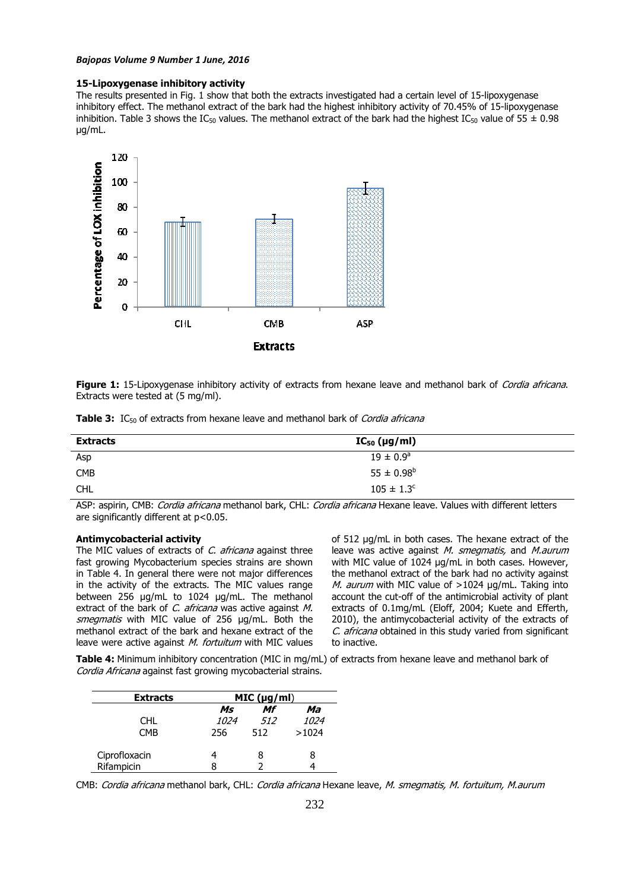#### **15-Lipoxygenase inhibitory activity**

The results presented in Fig. 1 show that both the extracts investigated had a certain level of 15-lipoxygenase inhibitory effect. The methanol extract of the bark had the highest inhibitory activity of 70.45% of 15-lipoxygenase inhibition. Table 3 shows the IC<sub>50</sub> values. The methanol extract of the bark had the highest IC<sub>50</sub> value of 55  $\pm$  0.98 µg/mL.



**Figure 1:** 15-Lipoxygenase inhibitory activity of extracts from hexane leave and methanol bark of *Cordia africana*. Extracts were tested at (5 mg/ml).

| <b>Table 3:</b> IC <sub>50</sub> of extracts from hexane leave and methanol bark of <i>Cordia africana</i> |  |  |
|------------------------------------------------------------------------------------------------------------|--|--|
|------------------------------------------------------------------------------------------------------------|--|--|

| <b>Extracts</b> | $IC_{50}$ (µg/ml)    |  |
|-----------------|----------------------|--|
| Asp             | $19 \pm 0.9^{\circ}$ |  |
| <b>CMB</b>      | $55 \pm 0.98^b$      |  |
| CHL             | $105 \pm 1.3^c$      |  |

ASP: aspirin, CMB: *Cordia africana* methanol bark, CHL: *Cordia africana* Hexane leave. Values with different letters are significantly different at p<0.05.

#### **Antimycobacterial activity**

The MIC values of extracts of C. africana against three fast growing Mycobacterium species strains are shown in Table 4. In general there were not major differences in the activity of the extracts. The MIC values range between 256 µg/mL to 1024 µg/mL. The methanol extract of the bark of C. africana was active against M. smegmatis with MIC value of 256 µg/mL. Both the methanol extract of the bark and hexane extract of the leave were active against M. fortuitum with MIC values

of 512 µg/mL in both cases. The hexane extract of the leave was active against M. smegmatis, and M. aurum with MIC value of 1024 µg/mL in both cases. However, the methanol extract of the bark had no activity against M. aurum with MIC value of  $>1024$  µg/mL. Taking into account the cut-off of the antimicrobial activity of plant extracts of 0.1mg/mL (Eloff, 2004; Kuete and Efferth, 2010), the antimycobacterial activity of the extracts of C. africana obtained in this study varied from significant to inactive.

**Table 4:** Minimum inhibitory concentration (MIC in mg/mL) of extracts from hexane leave and methanol bark of Cordia Africana against fast growing mycobacterial strains.

| <b>Extracts</b> | MIC (µg/ml) |     |             |  |  |  |
|-----------------|-------------|-----|-------------|--|--|--|
|                 | Ms          | Mf  | Ma          |  |  |  |
| CHL.            | <i>1024</i> | 512 | <i>1024</i> |  |  |  |
| <b>CMB</b>      | 256         | 512 | >1024       |  |  |  |
| Ciprofloxacin   | 4           | 8   | 8           |  |  |  |
| Rifampicin      | 8           |     |             |  |  |  |

CMB: Cordia africana methanol bark, CHL: Cordia africana Hexane leave, M. smegmatis, M. fortuitum, M.aurum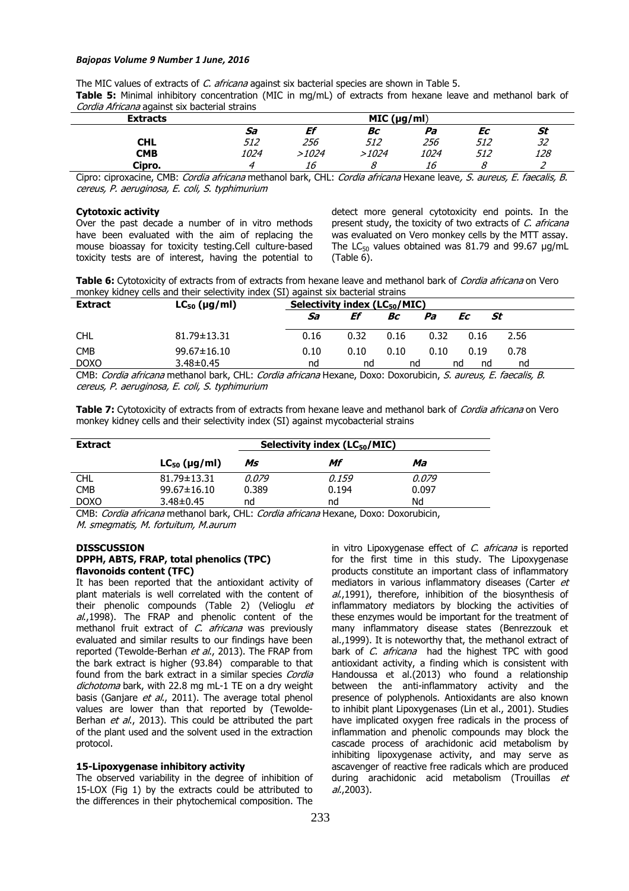The MIC values of extracts of *C. africana* against six bacterial species are shown in Table 5.

**Table 5:** Minimal inhibitory concentration (MIC in mg/mL) of extracts from hexane leave and methanol bark of Cordia Africana against six bacterial strains

| <b>Extracts</b> |             | MIC (µg/ml) |       |      |     |     |  |
|-----------------|-------------|-------------|-------|------|-----|-----|--|
|                 | Sa          | Ef          | Bс    | Pa   | Еc  | St  |  |
| CHL             | 512         | 256         | 512   | 256  | 512 | 32  |  |
| <b>CMB</b>      | <i>1024</i> | 1024>       | >1024 | 1024 | 512 | 128 |  |
| Cipro.          |             | 16          |       | 16   |     |     |  |

Cipro: ciproxacine, CMB: Cordia africana methanol bark, CHL: Cordia africana Hexane leave, S. aureus, E. faecalis, B. cereus, P. aeruginosa, E. coli, S. typhimurium

# **Cytotoxic activity**

Over the past decade a number of in vitro methods have been evaluated with the aim of replacing the mouse bioassay for toxicity testing.Cell culture-based toxicity tests are of interest, having the potential to detect more general cytotoxicity end points. In the present study, the toxicity of two extracts of C. africana was evaluated on Vero monkey cells by the MTT assay. The LC $_{50}$  values obtained was 81.79 and 99.67  $\mu$ g/mL (Table 6).

**Table 6:** Cytotoxicity of extracts from of extracts from hexane leave and methanol bark of Cordia africana on Vero monkey kidney cells and their selectivity index (SI) against six bacterial strains

| <b>Extract</b> | $LC_{50}$ (µg/ml) | Selectivity index (LC <sub>50</sub> /MIC) |      |      |      |          |      |
|----------------|-------------------|-------------------------------------------|------|------|------|----------|------|
|                |                   | Sa                                        | Ef   | Bс   | Pa   | St<br>Еc |      |
| <b>CHL</b>     | 81.79±13.31       | 0.16                                      | 0.32 | 0.16 | 0.32 | 0.16     | 2.56 |
| <b>CMB</b>     | $99.67 \pm 16.10$ | 0.10                                      | 0.10 | 0.10 | 0.10 | 0.19     | 0.78 |
| <b>DOXO</b>    | $3.48 \pm 0.45$   | nd                                        | nd   | nd   |      | nd<br>nd | nd   |

CMB: Cordia africana methanol bark, CHL: Cordia africana Hexane, Doxo: Doxorubicin, S. aureus, E. faecalis, B. cereus, P. aeruginosa, E. coli, S. typhimurium

**Table 7:** Cytotoxicity of extracts from of extracts from hexane leave and methanol bark of Cordia africana on Vero monkey kidney cells and their selectivity index (SI) against mycobacterial strains

| <b>Extract</b> | Selectivity index $(LC_{50}/MIC)$ |       |       |       |  |  |
|----------------|-----------------------------------|-------|-------|-------|--|--|
|                | $LC_{50}$ (µg/ml)                 | Ms    | Mf    | Ma    |  |  |
| <b>CHL</b>     | $81.79 \pm 13.31$                 | 0.079 | 0.159 | 0.079 |  |  |
| <b>CMB</b>     | 99.67±16.10                       | 0.389 | 0.194 | 0.097 |  |  |
| <b>DOXO</b>    | $3.48 \pm 0.45$                   | nd    | nd    | Nd    |  |  |

CMB: Cordia africana methanol bark, CHL: Cordia africana Hexane, Doxo: Doxorubicin, M. smegmatis, M. fortuitum, M.aurum

#### **DISSCUSSION**

### **DPPH, ABTS, FRAP, total phenolics (TPC) flavonoids content (TFC)**

It has been reported that the antioxidant activity of plant materials is well correlated with the content of their phenolic compounds (Table 2) (Velioglu et  $al$ ,1998). The FRAP and phenolic content of the methanol fruit extract of C. africana was previously evaluated and similar results to our findings have been reported (Tewolde-Berhan et al., 2013). The FRAP from the bark extract is higher (93.84) comparable to that found from the bark extract in a similar species Cordia dichotoma bark, with 22.8 mg mL-1 TE on a dry weight basis (Ganjare et al., 2011). The average total phenol values are lower than that reported by (Tewolde-Berhan et al., 2013). This could be attributed the part of the plant used and the solvent used in the extraction protocol.

#### **15-Lipoxygenase inhibitory activity**

The observed variability in the degree of inhibition of 15-LOX (Fig 1) by the extracts could be attributed to the differences in their phytochemical composition. The

in vitro Lipoxygenase effect of C. africana is reported for the first time in this study. The Lipoxygenase products constitute an important class of inflammatory mediators in various inflammatory diseases (Carter et al.,1991), therefore, inhibition of the biosynthesis of inflammatory mediators by blocking the activities of these enzymes would be important for the treatment of many inflammatory disease states (Benrezzouk et al.,1999). It is noteworthy that, the methanol extract of bark of C. africana had the highest TPC with good antioxidant activity, a finding which is consistent with Handoussa et al.(2013) who found a relationship between the anti-inflammatory activity and the presence of polyphenols. Antioxidants are also known to inhibit plant Lipoxygenases (Lin et al., 2001). Studies have implicated oxygen free radicals in the process of inflammation and phenolic compounds may block the cascade process of arachidonic acid metabolism by inhibiting lipoxygenase activity, and may serve as ascavenger of reactive free radicals which are produced during arachidonic acid metabolism (Trouillas et  $al., 2003$ ).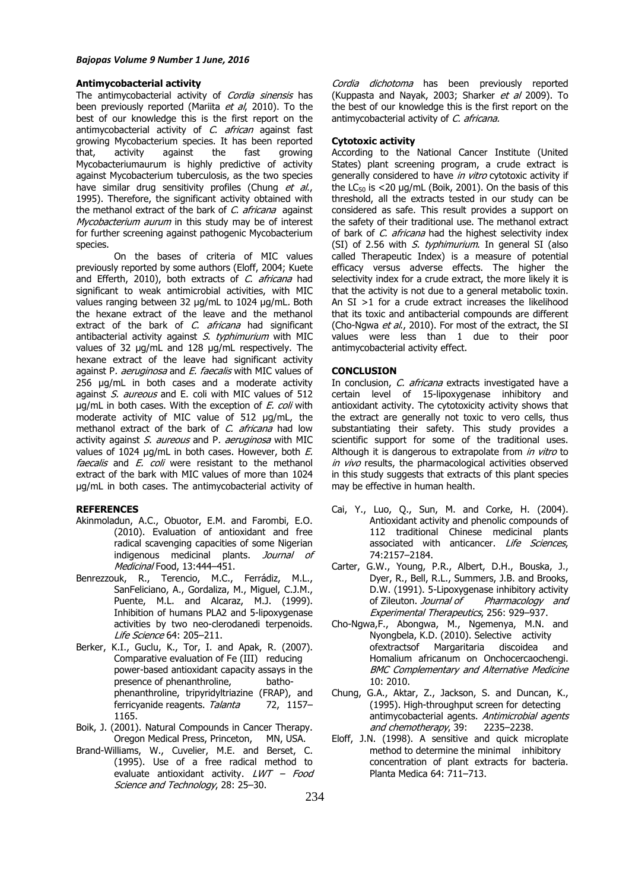### **Antimycobacterial activity**

The antimycobacterial activity of Cordia sinensis has been previously reported (Mariita et al, 2010). To the best of our knowledge this is the first report on the antimycobacterial activity of C. african against fast growing Mycobacterium species. It has been reported that, activity against the fast growing Mycobacteriumaurum is highly predictive of activity against Mycobacterium tuberculosis, as the two species have similar drug sensitivity profiles (Chung et al., 1995). Therefore, the significant activity obtained with the methanol extract of the bark of C. africana against Mycobacterium aurum in this study may be of interest for further screening against pathogenic Mycobacterium species.

On the bases of criteria of MIC values previously reported by some authors (Eloff, 2004; Kuete and Efferth, 2010), both extracts of C. africana had significant to weak antimicrobial activities, with MIC values ranging between 32 µg/mL to 1024 µg/mL. Both the hexane extract of the leave and the methanol extract of the bark of C. africana had significant antibacterial activity against  $S$ . typhimurium with MIC values of 32 µg/mL and 128 µg/mL respectively. The hexane extract of the leave had significant activity against P. aeruginosa and E. faecalis with MIC values of 256 µg/mL in both cases and a moderate activity against S. aureous and E. coli with MIC values of 512  $\mu$ g/mL in both cases. With the exception of E. coli with moderate activity of MIC value of 512 µg/mL, the methanol extract of the bark of C. africana had low activity against S. aureous and P. aeruginosa with MIC values of 1024  $\mu$ g/mL in both cases. However, both E. faecalis and E. coli were resistant to the methanol extract of the bark with MIC values of more than 1024 µg/mL in both cases. The antimycobacterial activity of

# **REFERENCES**

- Akinmoladun, A.C., Obuotor, E.M. and Farombi, E.O. (2010). Evaluation of antioxidant and free radical scavenging capacities of some Nigerian indigenous medicinal plants. Journal of Medicinal Food, 13:444-451.
- Benrezzouk, R., Terencio, M.C., Ferrádiz, M.L., SanFeliciano, A., Gordaliza, M., Miguel, C.J.M., Puente, M.L. and Alcaraz, M.J. (1999). Inhibition of humans PLA2 and 5-lipoxygenase activities by two neo-clerodanedi terpenoids. Life Science 64: 205–211.
- Berker, K.I., Guclu, K., Tor, I. and Apak, R. (2007). Comparative evaluation of Fe (III) reducing power-based antioxidant capacity assays in the presence of phenanthroline, bathophenanthroline, tripyridyltriazine (FRAP), and ferricyanide reagents. Talanta 72, 1157-1165.
- Boik, J. (2001). Natural Compounds in Cancer Therapy. Oregon Medical Press, Princeton, MN, USA.
- Brand-Williams, W., Cuvelier, M.E. and Berset, C. (1995). Use of a free radical method to evaluate antioxidant activity.  $LWT - Food$ Science and Technology, 28: 25–30.

Cordia dichotoma has been previously reported (Kuppasta and Nayak, 2003; Sharker et al 2009). To the best of our knowledge this is the first report on the antimycobacterial activity of C. africana.

#### **Cytotoxic activity**

According to the National Cancer Institute (United States) plant screening program, a crude extract is generally considered to have in vitro cytotoxic activity if the LC $50$  is  $\leq$ 20 µg/mL (Boik, 2001). On the basis of this threshold, all the extracts tested in our study can be considered as safe. This result provides a support on the safety of their traditional use. The methanol extract of bark of C. africana had the highest selectivity index (SI) of 2.56 with  $S$ . typhimurium. In general SI (also called Therapeutic Index) is a measure of potential efficacy versus adverse effects. The higher the selectivity index for a crude extract, the more likely it is that the activity is not due to a general metabolic toxin. An SI >1 for a crude extract increases the likelihood that its toxic and antibacterial compounds are different (Cho-Ngwa et al., 2010). For most of the extract, the SI values were less than 1 due to their poor antimycobacterial activity effect.

#### **CONCLUSION**

In conclusion, C. africana extracts investigated have a certain level of 15-lipoxygenase inhibitory and antioxidant activity. The cytotoxicity activity shows that the extract are generally not toxic to vero cells, thus substantiating their safety. This study provides a scientific support for some of the traditional uses. Although it is dangerous to extrapolate from *in vitro* to in vivo results, the pharmacological activities observed in this study suggests that extracts of this plant species may be effective in human health.

- Cai, Y., Luo, Q., Sun, M. and Corke, H. (2004). Antioxidant activity and phenolic compounds of 112 traditional Chinese medicinal plants associated with anticancer. Life Sciences, 74:2157–2184.
- Carter, G.W., Young, P.R., Albert, D.H., Bouska, J., Dyer, R., Bell, R.L., Summers, J.B. and Brooks, D.W. (1991). 5-Lipoxygenase inhibitory activity of Zileuton. Journal of Pharmacology and Experimental Therapeutics, 256: 929–937.
- Cho-Ngwa,F., Abongwa, M., Ngemenya, M.N. and Nyongbela, K.D. (2010). Selective activity ofextractsof Margaritaria discoidea and Homalium africanum on Onchocercaochengi. BMC Complementary and Alternative Medicine 10: 2010.
- Chung, G.A., Aktar, Z., Jackson, S. and Duncan, K., (1995). High-throughput screen for detecting antimycobacterial agents. Antimicrobial agents and chemotherapy, 39: 2235-2238.
- Eloff, J.N. (1998). A sensitive and quick microplate method to determine the minimal inhibitory concentration of plant extracts for bacteria. Planta Medica 64: 711–713.